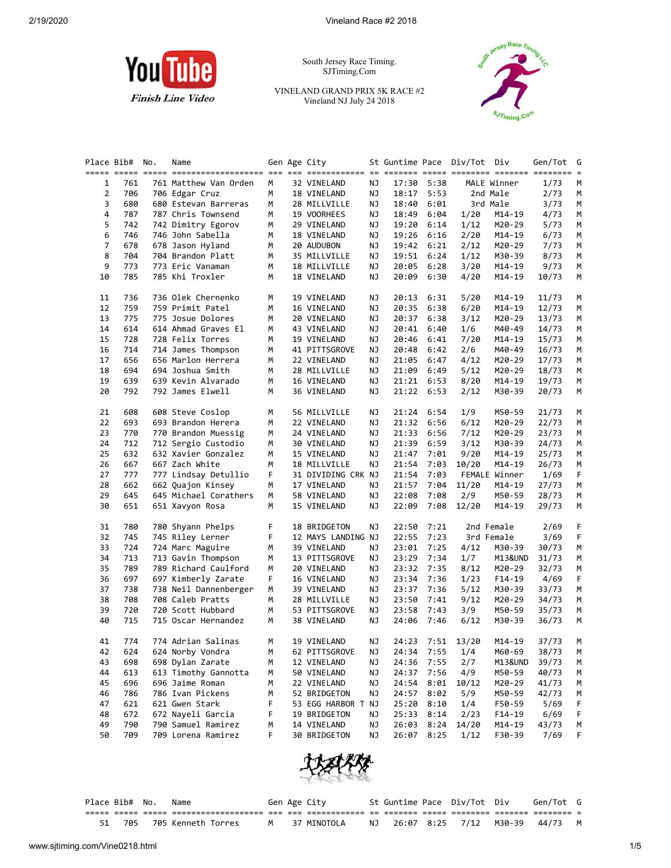

South Jersey Race Timing. SJTiming.Com

VINELAND GRAND PRIX 5K RACE #2 Vineland NJ July 24 2018



| Place Bib#     |     | No. | Name                                                                                                             |    | Gen Age City       |    | St Guntime Pace Div/Tot |            |                  | Div           | Gen/Tot | G  |
|----------------|-----|-----|------------------------------------------------------------------------------------------------------------------|----|--------------------|----|-------------------------|------------|------------------|---------------|---------|----|
|                |     |     | <u>stitt sitt sitt sitti sittistististist til 11 sittististe ti sittis sitti sittis sittist sittis sittist s</u> |    |                    |    |                         |            |                  |               |         |    |
| 1              | 761 |     | 761 Matthew Van Orden                                                                                            | М  | 32 VINELAND        | ΝJ |                         | 17:30 5:38 |                  | MALE Winner   | 1/73    | М  |
| $\overline{2}$ | 706 |     | 706 Edgar Cruz                                                                                                   | M  | 18 VINELAND        | ΝJ | 18:17                   | 5:53       |                  | 2nd Male      | 2/73    | М  |
| 3              | 680 |     | 680 Estevan Barreras                                                                                             | M  | 28 MILLVILLE       | ΝJ | 18:40                   | 6:01       |                  | 3rd Male      | 3/73    | М  |
| 4              | 787 |     | 787 Chris Townsend                                                                                               | М  | 19 VOORHEES        | ΝJ | 18:49                   | 6:04       | 1/20             | M14-19        | 4/73    | М  |
| 5              | 742 |     | 742 Dimitry Egorov                                                                                               | М  | 29 VINELAND        | ΝJ | 19:20                   | 6:14       | 1/12             | M20-29        | 5/73    | М  |
| 6              | 746 |     | 746 John Sabella                                                                                                 | М  | 18 VINELAND        | ΝJ | 19:26                   | 6:16       | 2/20             | M14-19        | 6/73    | М  |
| 7              | 678 |     | 678 Jason Hyland                                                                                                 | М  | 20 AUDUBON         | ΝJ | 19:42                   | 6:21       | 2/12             | M20-29        | 7/73    | М  |
| 8              | 704 |     | 704 Brandon Platt                                                                                                | М  | 35 MILLVILLE       | ΝJ | 19:51                   | 6:24       | 1/12             | M30-39        | 8/73    | М  |
| 9              | 773 |     | 773 Eric Vanaman                                                                                                 | М  | 18 MILLVILLE       | ΝJ | 20:05                   | 6:28       | 3/20             | M14-19        | 9/73    | М  |
| 10             | 785 |     | 785 Khi Troxler                                                                                                  | М  | 18 VINELAND        | ΝJ | 20:09                   | 6:30       | 4/20             | M14-19        | 10/73   | М  |
| 11             | 736 |     | 736 Olek Chernenko                                                                                               | М  | 19 VINELAND        | ΝJ | 20:13                   | 6:31       | 5/20             | $M14-19$      | 11/73   | М  |
| 12             | 759 |     | 759 Primit Patel                                                                                                 | М  | 16 VINELAND        | ΝJ | 20:35                   | 6:38       | 6/20             | M14-19        | 12/73   | М  |
| 13             | 775 |     | 775 Josue Dolores                                                                                                | М  | 20 VINELAND        | ΝJ | 20:37                   | 6:38       | 3/12             | M20-29        | 13/73   | М  |
| 14             | 614 |     | 614 Ahmad Graves El                                                                                              | М  | 43 VINELAND        | ΝJ | 20:41                   | 6:40       | 1/6              | M40-49        | 14/73   | М  |
| 15             | 728 |     | 728 Felix Torres                                                                                                 | М  | 19 VINELAND        | ΝJ | 20:46                   | 6:41       | 7/20             | M14-19        | 15/73   | М  |
| 16             | 714 |     | 714 James Thompson                                                                                               | М  | 41 PITTSGROVE      | ΝJ | 20:48                   | 6:42       | 2/6              | M40-49        | 16/73   | М  |
| 17             | 656 |     | 656 Marlon Herrera                                                                                               | М  | 22 VINELAND        | ΝJ | 21:05                   | 6:47       | 4/12             | M20-29        | 17/73   | М  |
| 18             | 694 |     | 694 Joshua Smith                                                                                                 | М  | 28 MILLVILLE       | ΝJ | 21:09                   | 6:49       | 5/12             | M20-29        | 18/73   | М  |
| 19             | 639 |     | 639 Kevin Alvarado                                                                                               | М  | 16 VINELAND        | ΝJ | 21:21                   | 6:53       | 8/20             | M14-19        | 19/73   | М  |
| 20             | 792 |     | 792 James Elwell                                                                                                 | М  | 36 VINELAND        | ΝJ | 21:22                   | 6:53       | 2/12             | M30-39        | 20/73   | М  |
| 21             | 608 |     | 608 Steve Coslop                                                                                                 | М  | 56 MILLVILLE       | ΝJ | 21:24                   | 6:54       | 1/9              | M50-59        | 21/73   | М  |
| 22             | 693 |     | 693 Brandon Herera                                                                                               | М  | 22 VINELAND        | ΝJ | 21:32                   | 6:56       | 6/12             | M20-29        | 22/73   | М  |
| 23             | 770 |     | 770 Brandon Muessig                                                                                              | М  | 24 VINELAND        | ΝJ | 21:33                   | 6:56       | 7/12             | M20-29        | 23/73   | М  |
| 24             | 712 |     | 712 Sergio Custodio                                                                                              | М  | 30 VINELAND        | ΝJ | 21:39                   | 6:59       | 3/12             | M30-39        | 24/73   | М  |
| 25             | 632 |     | 632 Xavier Gonzalez                                                                                              | М  | 15 VINELAND        | ΝJ | 21:47                   | 7:01       | 9/20             | M14-19        | 25/73   | М  |
| 26             | 667 |     | 667 Zach White                                                                                                   | М  | 18 MILLVILLE       | ΝJ | 21:54                   | 7:03       | 10/20            | M14-19        | 26/73   | М  |
| 27             | 777 |     | 777 Lindsay Detullio                                                                                             | F. | 31 DIVIDING CRK NJ |    | 21:54                   | 7:03       |                  | FEMALE Winner | 1/69    | F. |
| 28             | 662 |     | 662 Quajon Kinsey                                                                                                | М  | 17 VINELAND        | ΝJ | 21:57                   | 7:04       | 11/20            | M14-19        | 27/73   | М  |
| 29             | 645 |     | 645 Michael Corathers                                                                                            | М  | 58 VINELAND        | ΝJ | 22:08                   | 7:08       | 2/9              | M50-59        | 28/73   | М  |
| 30             | 651 |     | 651 Xavyon Rosa                                                                                                  | М  | 15 VINELAND        | ΝJ | 22:09                   | 7:08       | 12/20            | M14-19        | 29/73   | М  |
| 31             | 780 |     | 780 Shyann Phelps                                                                                                | F  | 18 BRIDGETON       | ΝJ | 22:50                   | 7:21       |                  | 2nd Female    | 2/69    | F  |
| 32             | 745 |     | 745 Riley Lerner                                                                                                 | F  | 12 MAYS LANDING NJ |    | 22:55                   | 7:23       |                  | 3rd Female    | 3/69    | F. |
| 33             | 724 |     | 724 Marc Maguire                                                                                                 | М  | 39 VINELAND        | ΝJ | 23:01                   | 7:25       | 4/12             | M30-39        | 30/73   | М  |
| 34             | 713 |     | 713 Gavin Thompson                                                                                               | М  | 13 PITTSGROVE      | ΝJ | 23:29                   | 7:34       | 1/7              | M13&UND       | 31/73   | М  |
| 35             | 789 |     | 789 Richard Caulford                                                                                             | М  | 20 VINELAND        | ΝJ | 23:32                   | 7:35       | 8/12             | M20-29        | 32/73   | М  |
| 36             | 697 |     | 697 Kimberly Zarate                                                                                              | F  | 16 VINELAND        | ΝJ | 23:34                   | 7:36       | 1/23             | F14-19        | 4/69    | F  |
| 37             | 738 |     | 738 Neil Dannenberger                                                                                            | М  | 39 VINELAND        | ΝJ | 23:37                   | 7:36       | 5/12             | M30-39        | 33/73   | М  |
| 38             | 708 |     | 708 Caleb Pratts                                                                                                 | M  | 28 MILLVILLE       | ΝJ | 23:50                   | 7:41       | 9/12             | M20-29        | 34/73   | М  |
| 39             | 720 |     | 720 Scott Hubbard                                                                                                | М  | 53 PITTSGROVE      | ΝJ | 23:58                   | 7:43       | 3/9              | M50-59        | 35/73   | М  |
| 40             | 715 |     | 715 Oscar Hernandez                                                                                              | М  | 38 VINELAND        | ΝJ | 24:06                   | 7:46       | 6/12             | M30-39        | 36/73   | М  |
| 41             | 774 |     | 774 Adrian Salinas                                                                                               | M  | 19 VINELAND        | ΝJ |                         |            | 24:23 7:51 13/20 | M14-19        | 37/73   | м  |
| 42             | 624 |     | 624 Norby Vondra                                                                                                 | М  | 62 PITTSGROVE      | NJ |                         |            | 24:34 7:55 1/4   | M60-69        | 38/73   | M  |
| 43             | 698 |     | 698 Dylan Zarate                                                                                                 | м  | 12 VINELAND        | ΝJ | 24:36                   | 7:55       | 2/7              | M13&UND       | 39/73   | M  |
| 44             | 613 |     | 613 Timothy Gannotta                                                                                             | м  | 50 VINELAND        | ΝJ | 24:37                   | 7:56       | 4/9              | M50-59        | 40/73   | М  |
| 45             | 696 |     | 696 Jaime Roman                                                                                                  | М  | 22 VINELAND        | ΝJ | 24:54                   | 8:01       | 10/12            | M20-29        | 41/73   | М  |
| 46             | 786 |     | 786 Ivan Pickens                                                                                                 | М  | 52 BRIDGETON       | ΝJ | 24:57                   | 8:02       | 5/9              | M50-59        | 42/73   | м  |
| 47             | 621 |     | 621 Gwen Stark                                                                                                   | F  | 53 EGG HARBOR T NJ |    | 25:20                   | 8:10       | 1/4              | F50-59        | 5/69    | F  |
| 48             | 672 |     | 672 Nayeli Garcia                                                                                                | F  | 19 BRIDGETON       | ΝJ | 25:33                   | 8:14       | 2/23             | F14-19        | 6/69    | F  |
| 49             | 790 |     | 790 Samuel Ramirez                                                                                               | М  | 14 VINELAND        | ΝJ | 26:03                   | 8:24       | 14/20            | M14-19        | 43/73   | M  |
| 50             | 709 |     | 709 Lorena Ramirez                                                                                               | F  | 30 BRIDGETON       | ΝJ | 26:07                   | 8:25       | 1/12             | F30-39        | 7/69    | F  |



| Place Bib# |     | No. | Name               |   | Gen Age City |                    | St Guntime Pace Div/Tot Div |        | Gen/Tot G |  |
|------------|-----|-----|--------------------|---|--------------|--------------------|-----------------------------|--------|-----------|--|
|            |     |     |                    |   |              |                    |                             |        |           |  |
|            | 705 |     | 705 Kenneth Torres | M | 37 MINOTOLA  | NJ 26:07 8:25 7/12 |                             | M30-39 | 44/73     |  |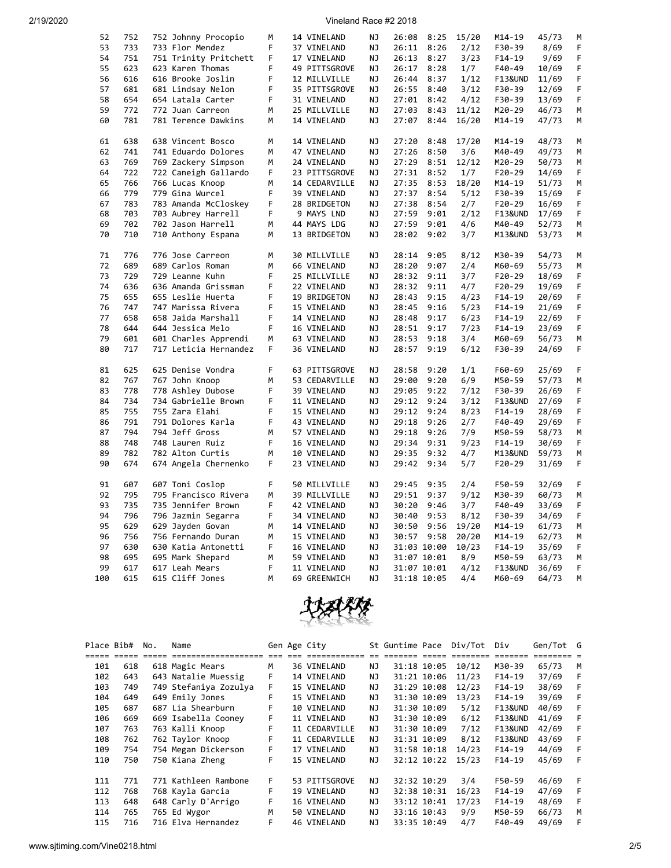2/19/2020 Vineland Race #2 2018

| 52  | 752 | 752 Johnny Procopio   | М  | 14 VINELAND   | ΝJ | 26:08 | 8:25        | 15/20 | M14-19   | 45/73 | м  |
|-----|-----|-----------------------|----|---------------|----|-------|-------------|-------|----------|-------|----|
| 53  | 733 | 733 Flor Mendez       | F  | 37 VINELAND   | ΝJ | 26:11 | 8:26        | 2/12  | F30-39   | 8/69  | F  |
| 54  | 751 | 751 Trinity Pritchett | F. | 17 VINELAND   | NJ | 26:13 | 8:27        | 3/23  | F14-19   | 9/69  | F  |
| 55  | 623 | 623 Karen Thomas      | F  | 49 PITTSGROVE | ΝJ | 26:17 | 8:28        | 1/7   | F40-49   | 10/69 | F  |
| 56  | 616 | 616 Brooke Joslin     | F  | 12 MILLVILLE  | NJ | 26:44 | 8:37        | 1/12  | F13&UND  | 11/69 | F  |
| 57  | 681 | 681 Lindsay Nelon     | F  | 35 PITTSGROVE | NJ | 26:55 | 8:40        | 3/12  | F30-39   | 12/69 | F  |
| 58  | 654 |                       | F  |               |    |       |             |       |          |       | F  |
|     |     | 654 Latala Carter     |    | 31 VINELAND   | ΝJ | 27:01 | 8:42        | 4/12  | F30-39   | 13/69 |    |
| 59  | 772 | 772 Juan Carreon      | M  | 25 MILLVILLE  | NJ | 27:03 | 8:43        | 11/12 | M20-29   | 46/73 | М  |
| 60  | 781 | 781 Terence Dawkins   | М  | 14 VINELAND   | ΝJ | 27:07 | 8:44        | 16/20 | M14-19   | 47/73 | М  |
|     |     |                       |    |               |    |       |             |       |          |       |    |
| 61  | 638 | 638 Vincent Bosco     | М  | 14 VINELAND   | ΝJ | 27:20 | 8:48        | 17/20 | M14-19   | 48/73 | м  |
| 62  | 741 | 741 Eduardo Dolores   | M  | 47 VINELAND   | ΝJ | 27:26 | 8:50        | 3/6   | M40-49   | 49/73 | м  |
| 63  | 769 | 769 Zackery Simpson   | M  | 24 VINELAND   | ΝJ | 27:29 | 8:51        | 12/12 | M20-29   | 50/73 | м  |
| 64  | 722 | 722 Caneigh Gallardo  | F. |               | NJ |       | 8:52        | 1/7   |          | 14/69 | F. |
|     |     |                       |    | 23 PITTSGROVE |    | 27:31 |             |       | F20-29   |       |    |
| 65  | 766 | 766 Lucas Knoop       | M  | 14 CEDARVILLE | ΝJ | 27:35 | 8:53        | 18/20 | M14-19   | 51/73 | М  |
| 66  | 779 | 779 Gina Wurcel       | F. | 39 VINELAND   | NJ | 27:37 | 8:54        | 5/12  | F30-39   | 15/69 | F  |
| 67  | 783 | 783 Amanda McCloskey  | F  | 28 BRIDGETON  | ΝJ | 27:38 | 8:54        | 2/7   | F20-29   | 16/69 | F  |
| 68  | 703 | 703 Aubrey Harrell    | F  | 9 MAYS LND    | ΝJ | 27:59 | 9:01        | 2/12  | F13&UND  | 17/69 | F  |
| 69  | 702 | 702 Jason Harrell     | М  | 44 MAYS LDG   | ΝJ | 27:59 | 9:01        | 4/6   | M40-49   | 52/73 | М  |
| 70  | 710 | 710 Anthony Espana    | М  | 13 BRIDGETON  | ΝJ | 28:02 | 9:02        | 3/7   | M13&UND  | 53/73 | М  |
|     |     |                       |    |               |    |       |             |       |          |       |    |
| 71  | 776 | 776 Jose Carreon      | M  | 30 MILLVILLE  | NJ | 28:14 | 9:05        | 8/12  | M30-39   | 54/73 | М  |
| 72  | 689 | 689 Carlos Roman      | M  | 66 VINELAND   | NJ | 28:20 | 9:07        | 2/4   | M60-69   | 55/73 | М  |
|     |     |                       |    |               |    |       |             |       |          |       |    |
| 73  | 729 | 729 Leanne Kuhn       | F  | 25 MILLVILLE  | NJ | 28:32 | 9:11        | 3/7   | F20-29   | 18/69 | F  |
| 74  | 636 | 636 Amanda Grissman   | F  | 22 VINELAND   | ΝJ | 28:32 | 9:11        | 4/7   | F20-29   | 19/69 | F  |
| 75  | 655 | 655 Leslie Huerta     | F  | 19 BRIDGETON  | ΝJ | 28:43 | 9:15        | 4/23  | $F14-19$ | 20/69 | F  |
| 76  | 747 | 747 Marissa Rivera    | F  | 15 VINELAND   | ΝJ | 28:45 | 9:16        | 5/23  | $F14-19$ | 21/69 | F  |
| 77  | 658 | 658 Jaida Marshall    | F. | 14 VINELAND   | ΝJ | 28:48 | 9:17        | 6/23  | F14-19   | 22/69 | F  |
| 78  | 644 | 644 Jessica Melo      | F. | 16 VINELAND   | NJ | 28:51 | 9:17        | 7/23  | F14-19   | 23/69 | F. |
| 79  | 601 | 601 Charles Apprendi  | M  | 63 VINELAND   | NJ | 28:53 | 9:18        | 3/4   | M60-69   | 56/73 | М  |
| 80  | 717 | 717 Leticia Hernandez | F. | 36 VINELAND   | ΝJ | 28:57 | 9:19        | 6/12  | F30-39   | 24/69 | F. |
|     |     |                       |    |               |    |       |             |       |          |       |    |
| 81  | 625 | 625 Denise Vondra     | F  | 63 PITTSGROVE | ΝJ | 28:58 | 9:20        | 1/1   | F60-69   | 25/69 | F  |
| 82  | 767 | 767 John Knoop        | М  | 53 CEDARVILLE | ΝJ | 29:00 | 9:20        | 6/9   | M50-59   | 57/73 | М  |
|     |     |                       |    |               |    |       |             |       |          |       |    |
| 83  | 778 | 778 Ashley Dubose     | F  | 39 VINELAND   | ΝJ | 29:05 | 9:22        | 7/12  | F30-39   | 26/69 | F  |
| 84  | 734 | 734 Gabrielle Brown   | F  | 11 VINELAND   | ΝJ | 29:12 | 9:24        | 3/12  | F13&UND  | 27/69 | F  |
| 85  | 755 | 755 Zara Elahi        | F  | 15 VINELAND   | ΝJ | 29:12 | 9:24        | 8/23  | F14-19   | 28/69 | F  |
| 86  | 791 | 791 Dolores Karla     | F  | 43 VINELAND   | ΝJ | 29:18 | 9:26        | 2/7   | F40-49   | 29/69 | F  |
| 87  | 794 | 794 Jeff Gross        | M  | 57 VINELAND   | NJ | 29:18 | 9:26        | 7/9   | M50-59   | 58/73 | M  |
| 88  | 748 | 748 Lauren Ruiz       | F  | 16 VINELAND   | ΝJ | 29:34 | 9:31        | 9/23  | $F14-19$ | 30/69 | F  |
| 89  | 782 | 782 Alton Curtis      | М  | 10 VINELAND   | NJ | 29:35 | 9:32        | 4/7   | M13&UND  | 59/73 | М  |
| 90  | 674 | 674 Angela Chernenko  | F. | 23 VINELAND   | ΝJ | 29:42 | 9:34        | 5/7   | F20-29   | 31/69 | F  |
|     |     |                       |    |               |    |       |             |       |          |       |    |
| 91  | 607 | 607 Toni Coslop       | F  | 50 MILLVILLE  | NJ | 29:45 | 9:35        | 2/4   | F50-59   | 32/69 | F  |
|     | 795 |                       |    |               |    |       |             |       |          |       |    |
| 92  |     | 795 Francisco Rivera  | М  | 39 MILLVILLE  | ΝJ | 29:51 | 9:37        | 9/12  | M30-39   | 60/73 | М  |
| 93  | 735 | 735 Jennifer Brown    | F  | 42 VINELAND   | ΝJ | 30:20 | 9:46        | 3/7   | F40-49   | 33/69 | F  |
| 94  | 796 | 796 Jazmin Segarra    | F  | 34 VINELAND   | NJ | 30:40 | 9:53        | 8/12  | F30-39   | 34/69 | F  |
| 95  | 629 | 629 Jayden Govan      | М  | 14 VINELAND   | NJ | 30:50 | 9:56        | 19/20 | M14-19   | 61/73 | М  |
| 96  | 756 | 756 Fernando Duran    | М  | 15 VINELAND   | ΝJ | 30:57 | 9:58        | 20/20 | M14-19   | 62/73 | М  |
| 97  | 630 | 630 Katia Antonetti   | F  | 16 VINELAND   | NJ |       | 31:03 10:00 | 10/23 | $F14-19$ | 35/69 | F  |
| 98  | 695 | 695 Mark Shepard      | М  | 59 VINELAND   | ΝJ |       | 31:07 10:01 | 8/9   | M50-59   | 63/73 | М  |
| 99  | 617 | 617 Leah Mears        | F  | 11 VINELAND   | ΝJ |       | 31:07 10:01 | 4/12  | F13&UND  | 36/69 | F  |
| 100 | 615 | 615 Cliff Jones       | M  | 69 GREENWICH  | NJ |       | 31:18 10:05 | 4/4   | M60-69   | 64/73 | M  |
|     |     |                       |    |               |    |       |             |       |          |       |    |



| Place Bib# |     | No. | Name                  |    | Gen Age City  |     | St Guntime Pace |             | Div/Tot | Div                | Gen/Tot G |   |
|------------|-----|-----|-----------------------|----|---------------|-----|-----------------|-------------|---------|--------------------|-----------|---|
|            |     |     |                       |    |               |     |                 |             |         |                    |           |   |
| 101        | 618 |     | 618 Magic Mears       | М  | 36 VINELAND   | NJ  |                 | 31:18 10:05 | 10/12   | M30-39             | 65/73     | м |
| 102        | 643 |     | 643 Natalie Muessig   | F  | 14 VINELAND   | NJ  |                 | 31:21 10:06 | 11/23   | $F14-19$           | 37/69     |   |
| 103        | 749 |     | 749 Stefaniya Zozulya | F. | 15 VINELAND   | NJ  |                 | 31:29 10:08 | 12/23   | $F14-19$           | 38/69     |   |
| 104        | 649 |     | 649 Emily Jones       | F  | 15 VINELAND   | NJ  |                 | 31:30 10:09 | 13/23   | $F14-19$           | 39/69     |   |
| 105        | 687 |     | 687 Lia Shearburn     | F  | 10 VINELAND   | ΝJ  |                 | 31:30 10:09 | 5/12    | <b>F13&amp;UND</b> | 40/69     |   |
| 106        | 669 |     | 669 Isabella Cooney   | F. | 11 VINELAND   | NJ  |                 | 31:30 10:09 | 6/12    | <b>F13&amp;UND</b> | 41/69     |   |
| 107        | 763 |     | 763 Kalli Knoop       | F  | 11 CEDARVILLE | NJ. |                 | 31:30 10:09 | 7/12    | <b>F13&amp;UND</b> | 42/69     |   |
| 108        | 762 |     | 762 Taylor Knoop      | F  | 11 CEDARVILLE | ΝJ  |                 | 31:31 10:09 | 8/12    | <b>F13&amp;UND</b> | 43/69     |   |
| 109        | 754 |     | 754 Megan Dickerson   | F. | 17 VINELAND   | NJ  |                 | 31:58 10:18 | 14/23   | $F14-19$           | 44/69     |   |
| 110        | 750 |     | 750 Kiana Zheng       | F  | 15 VINELAND   | NJ  |                 | 32:12 10:22 | 15/23   | $F14-19$           | 45/69     | F |
|            |     |     |                       |    |               |     |                 |             |         |                    |           |   |
| 111        | 771 |     | 771 Kathleen Rambone  | F. | 53 PITTSGROVE | NJ. |                 | 32:32 10:29 | 3/4     | F50-59             | 46/69     | F |
| 112        | 768 |     | 768 Kayla Garcia      | F  | 19 VINELAND   | ΝJ  |                 | 32:38 10:31 | 16/23   | $F14-19$           | 47/69     | F |
| 113        | 648 |     | 648 Carly D'Arrigo    | F. | 16 VINELAND   | ΝJ  |                 | 33:12 10:41 | 17/23   | $F14-19$           | 48/69     | F |
| 114        | 765 |     | 765 Ed Wygor          | м  | 50 VINELAND   | NJ  |                 | 33:16 10:43 | 9/9     | M50-59             | 66/73     | м |
| 115        | 716 |     | 716 Elva Hernandez    | F. | 46 VINELAND   | NJ  |                 | 33:35 10:49 | 4/7     | F40-49             | 49/69     | F |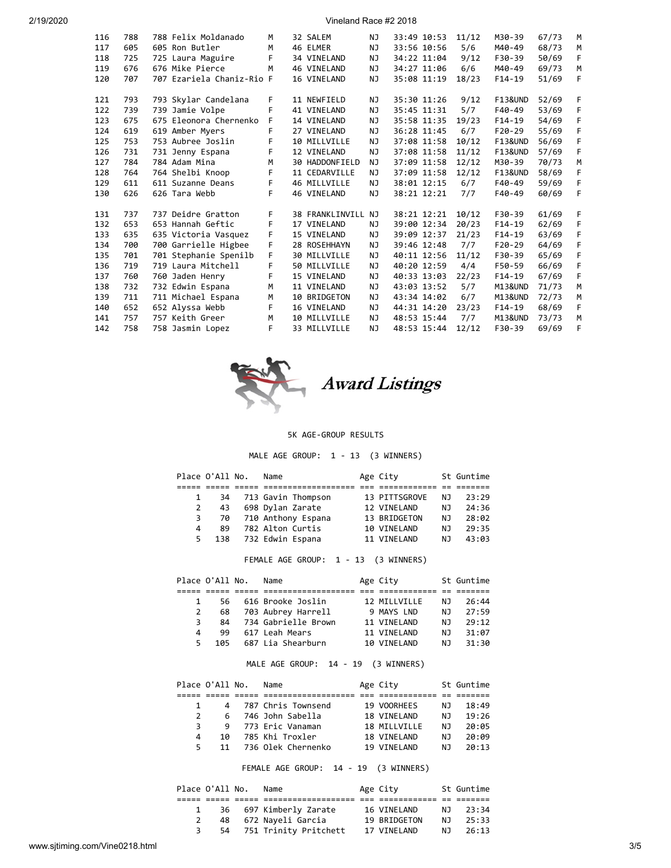| 2/19/2020 |  |  |
|-----------|--|--|
|           |  |  |

2/19/2020 Vineland Race #2 2018

| 116 | 788 | 788 Felix Moldanado       | M  | 32 SALEM           | NJ.       | 33:49 10:53 | 11/12 | M30-39             | 67/73 | м  |
|-----|-----|---------------------------|----|--------------------|-----------|-------------|-------|--------------------|-------|----|
| 117 | 605 | 605 Ron Butler            | M  | 46 ELMER           | NJ.       | 33:56 10:56 | 5/6   | M40-49             | 68/73 | M  |
| 118 | 725 | 725 Laura Maguire         | F  | 34 VINELAND        | NJ        | 34:22 11:04 | 9/12  | F30-39             | 50/69 | F. |
| 119 | 676 | 676 Mike Pierce           | M  | 46 VINELAND        | NJ.       | 34:27 11:06 | 6/6   | M40-49             | 69/73 | M  |
| 120 | 707 | 707 Ezariela Chaniz-Rio F |    | 16 VINELAND        | <b>NJ</b> | 35:08 11:19 | 18/23 | $F14-19$           | 51/69 | F  |
|     |     |                           |    |                    |           |             |       |                    |       |    |
| 121 | 793 | 793 Skylar Candelana      | F. | 11 NEWFIELD        | NJ        | 35:30 11:26 | 9/12  | <b>F13&amp;UND</b> | 52/69 | F  |
| 122 | 739 | 739 Jamie Volpe           | F  | 41 VINELAND        | <b>NJ</b> | 35:45 11:31 | 5/7   | F40-49             | 53/69 | F  |
| 123 | 675 | 675 Eleonora Chernenko    | F  | 14 VINELAND        | <b>NJ</b> | 35:58 11:35 | 19/23 | $F14-19$           | 54/69 | F  |
| 124 | 619 | 619 Amber Myers           | F  | 27 VINELAND        | <b>NJ</b> | 36:28 11:45 | 6/7   | $F20-29$           | 55/69 | F  |
| 125 | 753 | 753 Aubree Joslin         | F. | 10 MILLVILLE       | NJ        | 37:08 11:58 | 10/12 | <b>F13&amp;UND</b> | 56/69 | F  |
| 126 | 731 | 731 Jenny Espana          | F  | 12 VINELAND        | NJ.       | 37:08 11:58 | 11/12 | <b>F13&amp;UND</b> | 57/69 | F  |
| 127 | 784 | 784 Adam Mina             | M  | 30 HADDONFIELD     | NJ        | 37:09 11:58 | 12/12 | M30-39             | 70/73 | M  |
| 128 | 764 | 764 Shelbi Knoop          | F  | 11 CEDARVILLE      | NJ        | 37:09 11:58 | 12/12 | <b>F13&amp;UND</b> | 58/69 | F  |
| 129 | 611 | 611 Suzanne Deans         | F. | 46 MILLVILLE       | NJ        | 38:01 12:15 | 6/7   | F40-49             | 59/69 | F  |
| 130 | 626 | 626 Tara Webb             | F  | 46 VINELAND        | NJ.       | 38:21 12:21 | 7/7   | F40-49             | 60/69 | F  |
|     |     |                           |    |                    |           |             |       |                    |       |    |
| 131 | 737 | 737 Deidre Gratton        | F. | 38 FRANKLINVILL NJ |           | 38:21 12:21 | 10/12 | F30-39             | 61/69 | F. |
| 132 | 653 | 653 Hannah Geftic         | F  | 17 VINELAND        | NJ.       | 39:00 12:34 | 20/23 | $F14-19$           | 62/69 | F  |
| 133 | 635 | 635 Victoria Vasquez      | F  | 15 VINELAND        | NJ.       | 39:09 12:37 | 21/23 | $F14-19$           | 63/69 | F  |
| 134 | 700 | 700 Garrielle Higbee      | F  | 28 ROSEHHAYN       | NJ.       | 39:46 12:48 | 7/7   | $F20-29$           | 64/69 | F  |
| 135 | 701 | 701 Stephanie Spenilb     | F  | 30 MILLVILLE       | NJ        | 40:11 12:56 | 11/12 | F30-39             | 65/69 | F  |
| 136 | 719 | 719 Laura Mitchell        | F  | 50 MILLVILLE       | <b>NJ</b> | 40:20 12:59 | 4/4   | F50-59             | 66/69 | F  |
| 137 | 760 | 760 Jaden Henry           | F. | 15 VINELAND        | NJ        | 40:33 13:03 | 22/23 | $F14-19$           | 67/69 | F  |
| 138 | 732 | 732 Edwin Espana          | M  | 11 VINELAND        | <b>NJ</b> | 43:03 13:52 | 5/7   | M13&UND            | 71/73 | M  |
| 139 | 711 | 711 Michael Espana        | M  | 10 BRIDGETON       | NJ        | 43:34 14:02 | 6/7   | M13&UND            | 72/73 | M  |
| 140 | 652 | 652 Alyssa Webb           | F  | 16 VINELAND        | NJ        | 44:31 14:20 | 23/23 | $F14-19$           | 68/69 | F  |
| 141 | 757 | 757 Keith Greer           | M  | 10 MILLVILLE       | NJ        | 48:53 15:44 | 7/7   | M13&UND            | 73/73 | M  |
| 142 | 758 | 758 Jasmin Lopez          | F  | 33 MILLVILLE       | NJ        | 48:53 15:44 | 12/12 | F30-39             | 69/69 | F  |
|     |     |                           |    |                    |           |             |       |                    |       |    |



# 5K AGE-GROUP RESULTS

## MALE AGE GROUP: 1 - 13 (3 WINNERS)

|    | Place O'All No. | Name               | Age City      |     | St Guntime |
|----|-----------------|--------------------|---------------|-----|------------|
|    |                 |                    |               |     |            |
|    | 34              | 713 Gavin Thompson | 13 PITTSGROVE | N J | 23:29      |
| 2  | 43              | 698 Dylan Zarate   | 12 VINELAND   | NJ  | 24:36      |
| 3  | 70              | 710 Anthony Espana | 13 BRIDGETON  | NJ  | 28:02      |
| 4  | 89              | 782 Alton Curtis   | 10 VINELAND   | NJ  | 29:35      |
| 5. | 138             | 732 Edwin Espana   | 11 VINELAND   | ΝJ  | 43:03      |

## FEMALE AGE GROUP: 1 - 13 (3 WINNERS)

|    | Place O'All No. | Name                 | Age City     |     | St Guntime |
|----|-----------------|----------------------|--------------|-----|------------|
|    |                 |                      |              |     |            |
|    |                 | 56 616 Brooke Joslin | 12 MTIIVTIIF | NJ. | 26:44      |
| 2  | 68              | 703 Aubrey Harrell   | 9 MAYS LND   | N J | 27:59      |
| 3. | 84              | 734 Gabrielle Brown  | 11 VTNFI AND | N J | 79:12      |
| Δ  | 99              | 617 Leah Mears       | 11 VTNFI AND | N J | 31:07      |
| 5. | 105             | 687 Lia Shearburn    | 10 VTNFI AND | N٦  | 31:30      |

## MALE AGE GROUP: 14 - 19 (3 WINNERS)

|               | Place O'All No. | Name               | Age City     |     | St Guntime |
|---------------|-----------------|--------------------|--------------|-----|------------|
|               |                 |                    |              |     |            |
|               |                 | 787 Chris Townsend | 19 VOORHEES  | ΝJ  | 18:49      |
| $\mathcal{P}$ | 6.              | 746 John Sabella   | 18 VTNFI AND | N J | 19:26      |
| 3             | 9               | 773 Eric Vanaman   | 18 MILLVILLE | N J | 20:05      |
| 4             | 1Q              | 785 Khi Troxler    | 18 VTNFI AND | ΝJ  | 20:09      |
| 5.            | 11              | 736 Olek Chernenko | 19 VTNFI AND | ΝJ  | 20:13      |

FEMALE AGE GROUP: 14 - 19 (3 WINNERS)

| Place O'All No. |  | Name                     | Age City     |     | St Guntime |
|-----------------|--|--------------------------|--------------|-----|------------|
|                 |  |                          |              |     |            |
|                 |  | 36 697 Kimberly Zarate   | 16 VINELAND  |     | NJ 23:34   |
|                 |  | 48 672 Nayeli Garcia     | 19 BRIDGETON | N J | 25:33      |
|                 |  | 54 751 Trinity Pritchett | 17 VINELAND  | NJ. | 26:13      |
|                 |  |                          |              |     |            |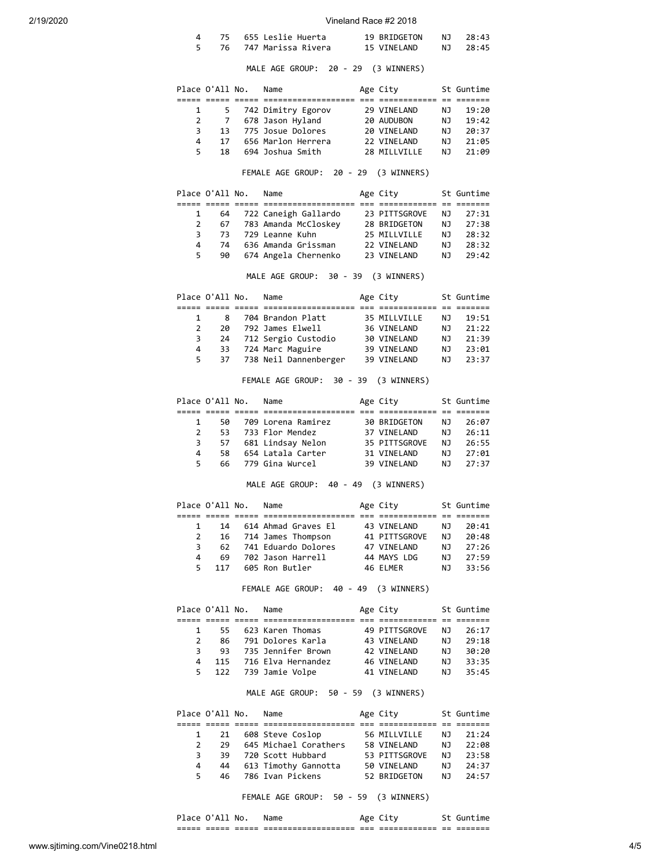| 2/19/2020 |                |                 |                                                                                                         | Vineland Race #2 2018       |           |                |
|-----------|----------------|-----------------|---------------------------------------------------------------------------------------------------------|-----------------------------|-----------|----------------|
|           | 4<br>5         | 75<br>76        | 655 Leslie Huerta<br>747 Marissa Rivera                                                                 | 19 BRIDGETON<br>15 VINELAND | NJ<br>ΝJ  | 28:43<br>28:45 |
|           |                |                 | MALE AGE GROUP: 20 - 29 (3 WINNERS)                                                                     |                             |           |                |
|           |                | Place O'All No. | Name                                                                                                    | Age City                    |           | St Guntime     |
|           | 1              | 5               | 742 Dimitry Egorov                                                                                      | 29 VINELAND                 | ΝJ        | 19:20          |
|           | $\overline{2}$ | 7               | 678 Jason Hyland                                                                                        |                             | NJ        | 19:42          |
|           | 3              | 13              | 775 Josue Dolores                                                                                       | 20 AUDUBON<br>20 VINELAND   | NJ        | 20:37          |
|           | 4              | 17              | 656 Marlon Herrera                                                                                      | 22 VINELAND                 | NJ        | 21:05          |
|           | 5              | 18              | 694 Joshua Smith                                                                                        | 28 MILLVILLE                | NJ        | 21:09          |
|           |                |                 | FEMALE AGE GROUP: 20 - 29 (3 WINNERS)                                                                   |                             |           |                |
|           |                | Place O'All No. | Name                                                                                                    | Age City                    |           | St Guntime     |
|           | 1              | 64              |                                                                                                         |                             | ΝJ        | 27:31          |
|           | $\overline{2}$ | 67              | 722 Caneigh Gallardo 23 PITTSGROVE<br>783 Amanda McCloskey 28 BRIDGETON<br>729 Leanne Kuhn 25 MTLLVILLE |                             | NJ        | 27:38          |
|           | 3              | 73              | 729 Leanne Kuhn                                                                                         | 25 MILLVILLE                | NJ        | 28:32          |
|           | 4              | 74              | 636 Amanda Grissman                                                                                     | 22 VINELAND                 | NJ        | 28:32          |
|           | 5              | 90              | 674 Angela Chernenko                                                                                    | 23 VINELAND                 | NJ        | 29:42          |
|           |                |                 | MALE AGE GROUP: 30 - 39 (3 WINNERS)                                                                     |                             |           |                |
|           |                | Place O'All No. | Name                                                                                                    | Age City                    |           | St Guntime     |
|           | 1              | 8               | 704 Brandon Platt                                                                                       | 35 MILLVILLE                | NJ        | 19:51          |
|           | $\overline{2}$ | 20              | 792 James Elwell                                                                                        | 36 VINELAND                 | NJ        | 21:22          |
|           | 3              | 24              |                                                                                                         |                             | <b>NJ</b> | 21:39          |
|           | 4              | 33              | 712 Sergio Custodio 30 VINELAND<br>724 Marc Maguire 39 VINELAND<br>724 Marc Maguire                     | 39 VINELAND                 | NJ        | 23:01          |
|           | 5              | 37              | 738 Neil Dannenberger                                                                                   | 39 VINELAND                 | NJ        | 23:37          |
|           |                |                 | FEMALE AGE GROUP: 30 - 39 (3 WINNERS)                                                                   |                             |           |                |
|           |                | Place O'All No. | Name                                                                                                    | Age City                    |           | St Guntime     |
|           | $\mathbf{1}$   | 50              |                                                                                                         |                             |           |                |
|           | $\overline{2}$ | 53              | 709 Lorena Ramirez<br>733 Flor Mendez                                                                   | 30 BRIDGETON<br>37 VINELAND | NJ<br>NJ  | 26:07<br>26:11 |
|           | 3              | 57              | 681 Lindsay Nelon                                                                                       | 35 PITTSGROVE               | NJ 1      | 26:55          |
|           | 4              | 58              | 654 Latala Carter                                                                                       | 31 VINELAND                 | NJ        | 27:01          |
|           | 5              | 66              | 779 Gina Wurcel                                                                                         | 39 VINELAND                 | NJ        | 27:37          |
|           |                |                 | MALE AGE GROUP: 40 - 49 (3 WINNERS)                                                                     |                             |           |                |
|           |                | Place O'All No. | Name                                                                                                    | Age City                    |           | St Guntime     |
|           | $\mathbf{1}$   | 14              | 614 Ahmad Graves El      43 VINELAND                                                                    |                             | NJ        | 20:41          |
|           | $\overline{2}$ |                 | 16 714 James Thompson 41 PITTSGROVE                                                                     |                             | NJ        | 20:48          |
|           | 3              | 62              | 741 Eduardo Dolores                                                                                     |                             | NJ        | 27:26          |
|           | 4              | 69              | 702 Jason Harrell                                                                                       | 47 VINELAND<br>44 MAYS LDG  | NJ        | 27:59          |
|           | 5.             | 117             | 605 Ron Butler                                                                                          | 46 ELMER                    | NJ        | 33:56          |
|           |                |                 | FEMALE AGE GROUP: 40 - 49 (3 WINNERS)                                                                   |                             |           |                |
|           |                | Place O'All No. | Name                                                                                                    | Age City                    |           | St Guntime     |
|           |                | $1 \quad$       | 55 623 Karen Thomas 49 PITTSGROVE                                                                       |                             | NJ        | 26:17          |
|           |                | $2^{\circ}$     | 86    791 Dolores Karla                                                                                 |                             | NJ        | 29:18          |
|           | 3              | 93              | 735 Jennifer Brown                                                                                      | 43 VINELAND<br>42 VINELAND  | NJ        | 30:20          |
|           | 4              | 115             | 716 Elva Hernandez                                                                                      | 46 VINELAND                 | NJ        | 33:35          |
|           | 5              | 122             | 739 Jamie Volpe                                                                                         | 41 VINELAND                 | NJ        | 35:45          |
|           |                |                 | MALE AGE GROUP: 50 - 59 (3 WINNERS)                                                                     |                             |           |                |
|           |                | Place O'All No. | Name                                                                                                    | Age City                    |           | St Guntime     |
|           |                |                 |                                                                                                         |                             |           |                |
|           | $\mathbf{1}$   | 21              | 608 Steve Coslop                                                                                        | 56 MILLVILLE                | NJ        | 21:24          |
|           | $\overline{2}$ |                 | 29 645 Michael Corathers 58 VINELAND<br>39 720 Scott Hubbard 53 PITTSGROVE                              |                             | NJ        | 22:08          |
|           | 3              |                 |                                                                                                         |                             | NJ        | 23:58          |
|           | 4              | 44              | 613 Timothy Gannotta 50 VINELAND<br>786 Ivan Pickens 52 BRIDGETON                                       |                             | NJ        | 24:37          |
|           | 5              | 46              |                                                                                                         |                             | NJ        | 24:57          |
|           |                |                 | FEMALE AGE GROUP: 50 - 59 (3 WINNERS)                                                                   |                             |           |                |

Place O'All No. Name Age City St Guntime ===== ===== ===== =================== === ============ == =======